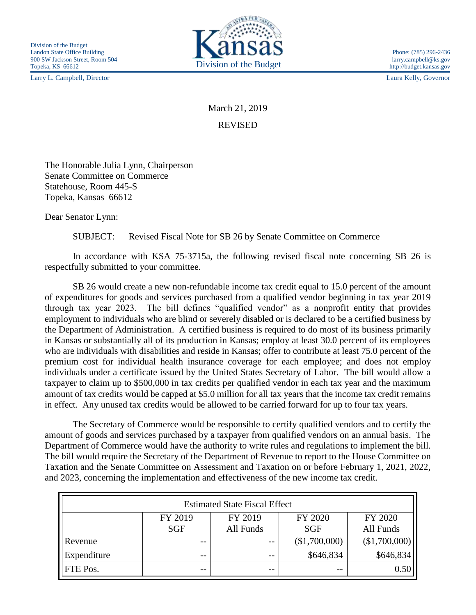Larry L. Campbell, Director Laura Kelly, Governor



March 21, 2019 REVISED

The Honorable Julia Lynn, Chairperson Senate Committee on Commerce Statehouse, Room 445-S Topeka, Kansas 66612

Dear Senator Lynn:

SUBJECT: Revised Fiscal Note for SB 26 by Senate Committee on Commerce

In accordance with KSA 75-3715a, the following revised fiscal note concerning SB 26 is respectfully submitted to your committee.

SB 26 would create a new non-refundable income tax credit equal to 15.0 percent of the amount of expenditures for goods and services purchased from a qualified vendor beginning in tax year 2019 through tax year 2023. The bill defines "qualified vendor" as a nonprofit entity that provides employment to individuals who are blind or severely disabled or is declared to be a certified business by the Department of Administration. A certified business is required to do most of its business primarily in Kansas or substantially all of its production in Kansas; employ at least 30.0 percent of its employees who are individuals with disabilities and reside in Kansas; offer to contribute at least 75.0 percent of the premium cost for individual health insurance coverage for each employee; and does not employ individuals under a certificate issued by the United States Secretary of Labor. The bill would allow a taxpayer to claim up to \$500,000 in tax credits per qualified vendor in each tax year and the maximum amount of tax credits would be capped at \$5.0 million for all tax years that the income tax credit remains in effect. Any unused tax credits would be allowed to be carried forward for up to four tax years.

The Secretary of Commerce would be responsible to certify qualified vendors and to certify the amount of goods and services purchased by a taxpayer from qualified vendors on an annual basis. The Department of Commerce would have the authority to write rules and regulations to implement the bill. The bill would require the Secretary of the Department of Revenue to report to the House Committee on Taxation and the Senate Committee on Assessment and Taxation on or before February 1, 2021, 2022, and 2023, concerning the implementation and effectiveness of the new income tax credit.

| <b>Estimated State Fiscal Effect</b> |            |           |               |               |
|--------------------------------------|------------|-----------|---------------|---------------|
|                                      | FY 2019    | FY 2019   | FY 2020       | FY 2020       |
|                                      | <b>SGF</b> | All Funds | <b>SGF</b>    | All Funds     |
| Revenue                              | --         | $- -$     | (\$1,700,000) | (\$1,700,000) |
| Expenditure                          | --         | $ -$      | \$646,834     | \$646,834     |
| <b>FTE Pos.</b>                      | $- -$      | --        |               | 0.50          |